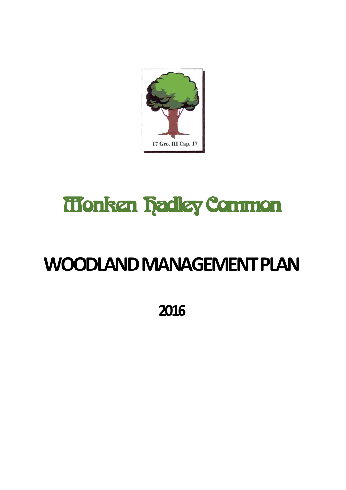

# Monken Hadley Common

## **WOODLAND MANAGEMENT PLAN**

**2016**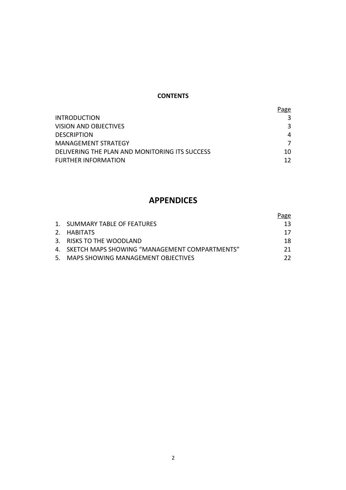#### **CONTENTS**

|                                                | <b>Page</b> |
|------------------------------------------------|-------------|
| <b>INTRODUCTION</b>                            |             |
| VISION AND OBJECTIVES                          |             |
| <b>DESCRIPTION</b>                             | 4           |
| MANAGEMENT STRATEGY                            |             |
| DELIVERING THE PLAN AND MONITORING ITS SUCCESS | 10          |
| <b>FURTHER INFORMATION</b>                     | 12          |

## **APPENDICES**

|                                                  | Page |
|--------------------------------------------------|------|
| 1. SUMMARY TABLE OF FEATURES                     | 13.  |
| 2. HABITATS                                      | 17   |
| 3. RISKS TO THE WOODLAND                         | 18.  |
| 4. SKETCH MAPS SHOWING "MANAGEMENT COMPARTMENTS" | 21.  |
| 5. MAPS SHOWING MANAGEMENT OBJECTIVES            | 22.  |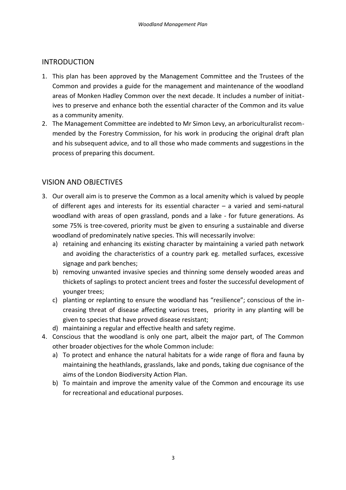## INTRODUCTION

- 1. This plan has been approved by the Management Committee and the Trustees of the Common and provides a guide for the management and maintenance of the woodland areas of Monken Hadley Common over the next decade. It includes a number of initiatives to preserve and enhance both the essential character of the Common and its value as a community amenity.
- 2. The Management Committee are indebted to Mr Simon Levy, an arboriculturalist recommended by the Forestry Commission, for his work in producing the original draft plan and his subsequent advice, and to all those who made comments and suggestions in the process of preparing this document.

## VISION AND OBJECTIVES

- 3. Our overall aim is to preserve the Common as a local amenity which is valued by people of different ages and interests for its essential character – a varied and semi-natural woodland with areas of open grassland, ponds and a lake - for future generations. As some 75% is tree-covered, priority must be given to ensuring a sustainable and diverse woodland of predominately native species. This will necessarily involve:
	- a) retaining and enhancing its existing character by maintaining a varied path network and avoiding the characteristics of a country park eg. metalled surfaces, excessive signage and park benches;
	- b) removing unwanted invasive species and thinning some densely wooded areas and thickets of saplings to protect ancient trees and foster the successful development of younger trees;
	- c) planting or replanting to ensure the woodland has "resilience"; conscious of the increasing threat of disease affecting various trees, priority in any planting will be given to species that have proved disease resistant;
	- d) maintaining a regular and effective health and safety regime.
- 4. Conscious that the woodland is only one part, albeit the major part, of The Common other broader objectives for the whole Common include:
	- a) To protect and enhance the natural habitats for a wide range of flora and fauna by maintaining the heathlands, grasslands, lake and ponds, taking due cognisance of the aims of the London Biodiversity Action Plan.
	- b) To maintain and improve the amenity value of the Common and encourage its use for recreational and educational purposes.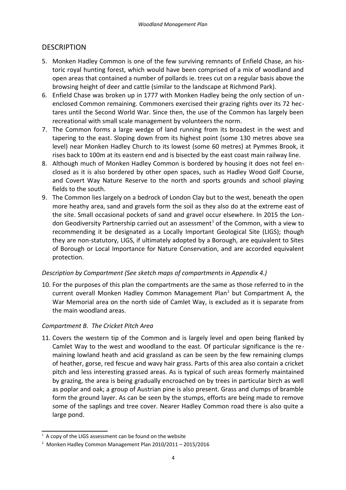## **DESCRIPTION**

- 5. Monken Hadley Common is one of the few surviving remnants of Enfield Chase, an historic royal hunting forest, which would have been comprised of a mix of woodland and open areas that contained a number of pollards ie. trees cut on a regular basis above the browsing height of deer and cattle (similar to the landscape at Richmond Park).
- 6. Enfield Chase was broken up in 1777 with Monken Hadley being the only section of unenclosed Common remaining. Commoners exercised their grazing rights over its 72 hectares until the Second World War. Since then, the use of the Common has largely been recreational with small scale management by volunteers the norm.
- 7. The Common forms a large wedge of land running from its broadest in the west and tapering to the east. Sloping down from its highest point (some 130 metres above sea level) near Monken Hadley Church to its lowest (some 60 metres) at Pymmes Brook, it rises back to 100m at its eastern end and is bisected by the east coast main railway line.
- 8. Although much of Monken Hadley Common is bordered by housing it does not feel enclosed as it is also bordered by other open spaces, such as Hadley Wood Golf Course, and Covert Way Nature Reserve to the north and sports grounds and school playing fields to the south.
- 9. The Common lies largely on a bedrock of London Clay but to the west, beneath the open more heathy area, sand and gravels form the soil as they also do at the extreme east of the site. Small occasional pockets of sand and gravel occur elsewhere. In 2015 the Lon-don Geodiversity Partnership carried out an assessment<sup>[1](#page-3-0)</sup> of the Common, with a view to recommending it be designated as a Locally Important Geological Site (LIGS); though they are non-statutory, LIGS, if ultimately adopted by a Borough, are equivalent to Sites of Borough or Local Importance for Nature Conservation, and are accorded equivalent protection.

### *Description by Compartment (See sketch maps of compartments in Appendix 4.)*

10. For the purposes of this plan the compartments are the same as those referred to in the current overall Monken Hadley Common Management Plan<sup>[2](#page-3-1)</sup> but Compartment A, the War Memorial area on the north side of Camlet Way, is excluded as it is separate from the main woodland areas.

## *Compartment B. The Cricket Pitch Area*

11. Covers the western tip of the Common and is largely level and open being flanked by Camlet Way to the west and woodland to the east. Of particular significance is the remaining lowland heath and acid grassland as can be seen by the few remaining clumps of heather, gorse, red fescue and wavy hair grass. Parts of this area also contain a cricket pitch and less interesting grassed areas. As is typical of such areas formerly maintained by grazing, the area is being gradually encroached on by trees in particular birch as well as poplar and oak; a group of Austrian pine is also present. Grass and clumps of bramble form the ground layer. As can be seen by the stumps, efforts are being made to remove some of the saplings and tree cover. Nearer Hadley Common road there is also quite a large pond.

<span id="page-3-0"></span> $1$  A copy of the LIGS assessment can be found on the website

<span id="page-3-1"></span><sup>&</sup>lt;sup>2</sup> Monken Hadley Common Management Plan 2010/2011 - 2015/2016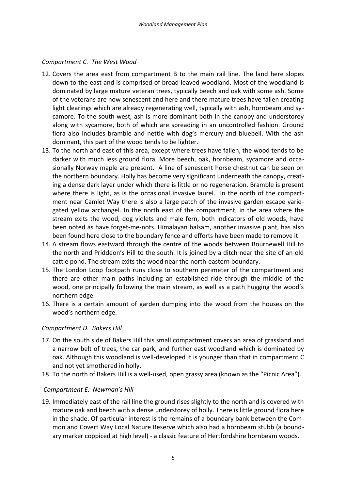#### *Compartment C. The West Wood*

- 12. Covers the area east from compartment B to the main rail line. The land here slopes down to the east and is comprised of broad leaved woodland. Most of the woodland is dominated by large mature veteran trees, typically beech and oak with some ash. Some of the veterans are now senescent and here and there mature trees have fallen creating light clearings which are already regenerating well, typically with ash, hornbeam and sycamore. To the south west, ash is more dominant both in the canopy and understorey along with sycamore, both of which are spreading in an uncontrolled fashion. Ground flora also includes bramble and nettle with dog's mercury and bluebell. With the ash dominant, this part of the wood tends to be lighter.
- 13. To the north and east of this area, except where trees have fallen, the wood tends to be darker with much less ground flora. More beech, oak, hornbeam, sycamore and occasionally Norway maple are present. A line of senescent horse chestnut can be seen on the northern boundary. Holly has become very significant underneath the canopy, creating a dense dark layer under which there is little or no regeneration. Bramble is present where there is light, as is the occasional invasive laurel. In the north of the compartment near Camlet Way there is also a large patch of the invasive garden escape variegated yellow archangel. In the north east of the compartment, in the area where the stream exits the wood, dog violets and male fern, both indicators of old woods, have been noted as have forget-me-nots. Himalayan balsam, another invasive plant, has also been found here close to the boundary fence and efforts have been made to remove it.
- 14. A stream flows eastward through the centre of the woods between Bournewell Hill to the north and Priddeon's Hill to the south. It is joined by a ditch near the site of an old cattle pond. The stream exits the wood near the north-eastern boundary.
- 15. The London Loop footpath runs close to southern perimeter of the compartment and there are other main paths including an established ride through the middle of the wood, one principally following the main stream, as well as a path hugging the wood's northern edge.
- 16. There is a certain amount of garden dumping into the wood from the houses on the wood's northern edge.

#### *Compartment D. Bakers Hill*

- 17. On the south side of Bakers Hill this small compartment covers an area of grassland and a narrow belt of trees, the car park, and further east woodland which is dominated by oak. Although this woodland is well-developed it is younger than that in compartment C and not yet smothered in holly.
- 18. To the north of Bakers Hill is a well-used, open grassy area (known as the "Picnic Area").

#### *Compartment E. Newman's Hill*

19. Immediately east of the rail line the ground rises slightly to the north and is covered with mature oak and beech with a dense understorey of holly. There is little ground flora here in the shade. Of particular interest is the remains of a boundary bank between the Common and Covert Way Local Nature Reserve which also had a hornbeam stubb (a boundary marker coppiced at high level) - a classic feature of Hertfordshire hornbeam woods.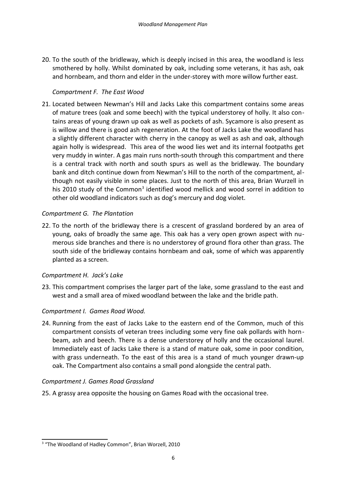20. To the south of the bridleway, which is deeply incised in this area, the woodland is less smothered by holly. Whilst dominated by oak, including some veterans, it has ash, oak and hornbeam, and thorn and elder in the under-storey with more willow further east.

### *Compartment F. The East Wood*

21. Located between Newman's Hill and Jacks Lake this compartment contains some areas of mature trees (oak and some beech) with the typical understorey of holly. It also contains areas of young drawn up oak as well as pockets of ash. Sycamore is also present as is willow and there is good ash regeneration. At the foot of Jacks Lake the woodland has a slightly different character with cherry in the canopy as well as ash and oak, although again holly is widespread. This area of the wood lies wet and its internal footpaths get very muddy in winter. A gas main runs north-south through this compartment and there is a central track with north and south spurs as well as the bridleway. The boundary bank and ditch continue down from Newman's Hill to the north of the compartment, although not easily visible in some places. Just to the north of this area, Brian Wurzell in his 2010 study of the Common<sup>[3](#page-5-0)</sup> identified wood mellick and wood sorrel in addition to other old woodland indicators such as dog's mercury and dog violet.

#### *Compartment G. The Plantation*

22. To the north of the bridleway there is a crescent of grassland bordered by an area of young, oaks of broadly the same age. This oak has a very open grown aspect with numerous side branches and there is no understorey of ground flora other than grass. The south side of the bridleway contains hornbeam and oak, some of which was apparently planted as a screen.

#### *Compartment H. Jack's Lake*

23. This compartment comprises the larger part of the lake, some grassland to the east and west and a small area of mixed woodland between the lake and the bridle path.

### *Compartment I. Games Road Wood.*

24. Running from the east of Jacks Lake to the eastern end of the Common, much of this compartment consists of veteran trees including some very fine oak pollards with hornbeam, ash and beech. There is a dense understorey of holly and the occasional laurel. Immediately east of Jacks Lake there is a stand of mature oak, some in poor condition, with grass underneath. To the east of this area is a stand of much younger drawn-up oak. The Compartment also contains a small pond alongside the central path.

### *Compartment J. Games Road Grassland*

25. A grassy area opposite the housing on Games Road with the occasional tree.

<span id="page-5-0"></span><sup>&</sup>lt;sup>3</sup> "The Woodland of Hadley Common", Brian Worzell, 2010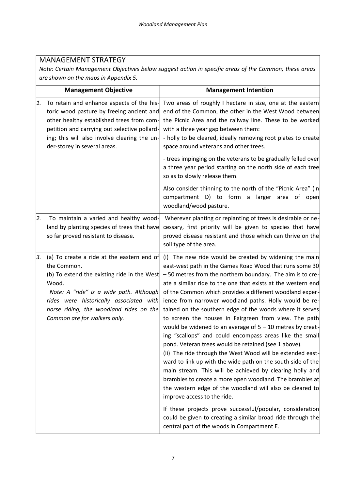## MANAGEMENT STRATEGY

*Note: Certain Management Objectives below suggest action in specific areas of the Common; these areas are shown on the maps in Appendix 5.*

|    | <b>Management Objective</b>                                                                                                                                                                                                                                                        | <b>Management Intention</b>                                                                                                                                                                                                                                                                                                                                                                                                                                                                                                                                                                                                                                                                                                                                                                                                                                                                                                                                                                                                                                                              |
|----|------------------------------------------------------------------------------------------------------------------------------------------------------------------------------------------------------------------------------------------------------------------------------------|------------------------------------------------------------------------------------------------------------------------------------------------------------------------------------------------------------------------------------------------------------------------------------------------------------------------------------------------------------------------------------------------------------------------------------------------------------------------------------------------------------------------------------------------------------------------------------------------------------------------------------------------------------------------------------------------------------------------------------------------------------------------------------------------------------------------------------------------------------------------------------------------------------------------------------------------------------------------------------------------------------------------------------------------------------------------------------------|
| 1. | To retain and enhance aspects of the his-<br>toric wood pasture by freeing ancient and<br>other healthy established trees from com-<br>petition and carrying out selective pollard-<br>ing; this will also involve clearing the un-<br>der-storey in several areas.                | Two areas of roughly I hectare in size, one at the eastern<br>end of the Common, the other in the West Wood between<br>the Picnic Area and the railway line. These to be worked<br>with a three year gap between them:<br>- holly to be cleared, ideally removing root plates to create<br>space around veterans and other trees.                                                                                                                                                                                                                                                                                                                                                                                                                                                                                                                                                                                                                                                                                                                                                        |
|    |                                                                                                                                                                                                                                                                                    | - trees impinging on the veterans to be gradually felled over<br>a three year period starting on the north side of each tree<br>so as to slowly release them.                                                                                                                                                                                                                                                                                                                                                                                                                                                                                                                                                                                                                                                                                                                                                                                                                                                                                                                            |
|    |                                                                                                                                                                                                                                                                                    | Also consider thinning to the north of the "Picnic Area" (in<br>compartment D) to form a<br>larger area<br>of open<br>woodland/wood pasture.                                                                                                                                                                                                                                                                                                                                                                                                                                                                                                                                                                                                                                                                                                                                                                                                                                                                                                                                             |
| 2. | To maintain a varied and healthy wood-<br>land by planting species of trees that have<br>so far proved resistant to disease.                                                                                                                                                       | Wherever planting or replanting of trees is desirable or ne-<br>cessary, first priority will be given to species that have<br>proved disease resistant and those which can thrive on the<br>soil type of the area.                                                                                                                                                                                                                                                                                                                                                                                                                                                                                                                                                                                                                                                                                                                                                                                                                                                                       |
| 3. | (a) To create a ride at the eastern end of<br>the Common.<br>(b) To extend the existing ride in the West<br>Wood.<br>Note: A "ride" is a wide path. Although<br>rides were historically associated with<br>horse riding, the woodland rides on the<br>Common are for walkers only. | (i) The new ride would be created by widening the main<br>east-west path in the Games Road Wood that runs some 30<br>-50 metres from the northern boundary. The aim is to cre-<br>ate a similar ride to the one that exists at the western end<br>of the Common which provides a different woodland exper-<br>ience from narrower woodland paths. Holly would be re-<br>tained on the southern edge of the woods where it serves<br>to screen the houses in Fairgreen from view. The path<br>would be widened to an average of $5 - 10$ metres by creat-<br>ing "scallops" and could encompass areas like the small<br>pond. Veteran trees would be retained (see 1 above).<br>(ii) The ride through the West Wood will be extended east-<br>ward to link up with the wide path on the south side of the<br>main stream. This will be achieved by clearing holly and<br>brambles to create a more open woodland. The brambles at<br>the western edge of the woodland will also be cleared to<br>improve access to the ride.<br>If these projects prove successful/popular, consideration |
|    |                                                                                                                                                                                                                                                                                    | could be given to creating a similar broad ride through the<br>central part of the woods in Compartment E.                                                                                                                                                                                                                                                                                                                                                                                                                                                                                                                                                                                                                                                                                                                                                                                                                                                                                                                                                                               |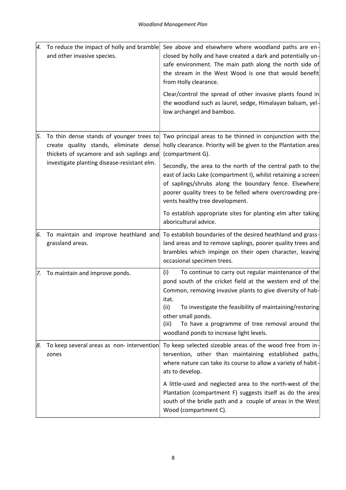| 4.  | To reduce the impact of holly and bramble<br>and other invasive species.                                                        | See above and elsewhere where woodland paths are en-<br>closed by holly and have created a dark and potentially un-<br>safe environment. The main path along the north side of<br>the stream in the West Wood is one that would benefit<br>from Holly clearance.<br>Clear/control the spread of other invasive plants found in<br>the woodland such as laurel, sedge, Himalayan balsam, yel-<br>low archangel and bamboo. |
|-----|---------------------------------------------------------------------------------------------------------------------------------|---------------------------------------------------------------------------------------------------------------------------------------------------------------------------------------------------------------------------------------------------------------------------------------------------------------------------------------------------------------------------------------------------------------------------|
| 5.  | To thin dense stands of younger trees to<br>create quality stands, eliminate dense<br>thickets of sycamore and ash saplings and | Two principal areas to be thinned in conjunction with the<br>holly clearance. Priority will be given to the Plantation area<br>(compartment G).                                                                                                                                                                                                                                                                           |
|     | investigate planting disease-resistant elm.                                                                                     | Secondly, the area to the north of the central path to the<br>east of Jacks Lake (compartment I), whilst retaining a screen<br>of saplings/shrubs along the boundary fence. Elsewhere<br>poorer quality trees to be felled where overcrowding pre-<br>vents healthy tree development.                                                                                                                                     |
|     |                                                                                                                                 | To establish appropriate sites for planting elm after taking<br>aboricultural advice.                                                                                                                                                                                                                                                                                                                                     |
| 6.  | To maintain and improve heathland and<br>grassland areas.                                                                       | To establish boundaries of the desired heathland and grass-<br>land areas and to remove saplings, poorer quality trees and<br>brambles which impinge on their open character, leaving<br>occasional specimen trees.                                                                                                                                                                                                       |
| 7.  | To maintain and improve ponds.                                                                                                  | To continue to carry out regular maintenance of the<br>(i)<br>pond south of the cricket field at the western end of the<br>Common, removing invasive plants to give diversity of hab-<br>itat.<br>To investigate the feasibility of maintaining/restoring<br>(ii)<br>other small ponds.<br>To have a programme of tree removal around the<br>(iii)<br>woodland ponds to increase light levels.                            |
| 18. | To keep several areas as non-intervention<br>zones                                                                              | To keep selected sizeable areas of the wood free from in-<br>tervention, other than maintaining established paths,<br>where nature can take its course to allow a variety of habit-<br>ats to develop.                                                                                                                                                                                                                    |
|     |                                                                                                                                 | A little-used and neglected area to the north-west of the<br>Plantation (compartment F) suggests itself as do the area<br>south of the bridle path and a couple of areas in the West<br>Wood (compartment C).                                                                                                                                                                                                             |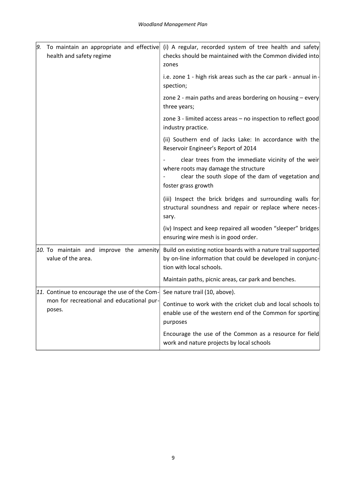| 9. | To maintain an appropriate and effective<br>health and safety regime | (i) A regular, recorded system of tree health and safety<br>checks should be maintained with the Common divided into<br>zones                                            |
|----|----------------------------------------------------------------------|--------------------------------------------------------------------------------------------------------------------------------------------------------------------------|
|    |                                                                      | i.e. zone 1 - high risk areas such as the car park - annual in -<br>spection;                                                                                            |
|    |                                                                      | zone 2 - main paths and areas bordering on housing - every<br>three years;                                                                                               |
|    |                                                                      | zone 3 - limited access areas - no inspection to reflect good<br>industry practice.                                                                                      |
|    |                                                                      | (ii) Southern end of Jacks Lake: In accordance with the<br>Reservoir Engineer's Report of 2014                                                                           |
|    |                                                                      | clear trees from the immediate vicinity of the weir<br>where roots may damage the structure<br>clear the south slope of the dam of vegetation and<br>foster grass growth |
|    |                                                                      | (iii) Inspect the brick bridges and surrounding walls for<br>structural soundness and repair or replace where neces-<br>sary.                                            |
|    |                                                                      | (iv) Inspect and keep repaired all wooden "sleeper" bridges<br>ensuring wire mesh is in good order.                                                                      |
|    | 10. To maintain and improve the amenity<br>value of the area.        | Build on existing notice boards with a nature trail supported<br>by on-line information that could be developed in conjunc-<br>tion with local schools.                  |
|    |                                                                      | Maintain paths, picnic areas, car park and benches.                                                                                                                      |
|    | 11. Continue to encourage the use of the Com-                        | See nature trail (10, above).                                                                                                                                            |
|    | mon for recreational and educational pur-<br>poses.                  | Continue to work with the cricket club and local schools to<br>enable use of the western end of the Common for sporting<br>purposes                                      |
|    |                                                                      | Encourage the use of the Common as a resource for field<br>work and nature projects by local schools                                                                     |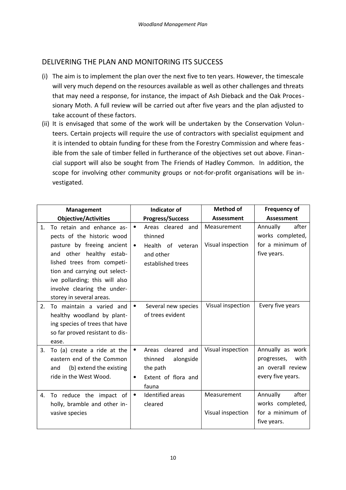## DELIVERING THE PLAN AND MONITORING ITS SUCCESS

- (i) The aim is to implement the plan over the next five to ten years. However, the timescale will very much depend on the resources available as well as other challenges and threats that may need a response, for instance, the impact of Ash Dieback and the Oak Processionary Moth. A full review will be carried out after five years and the plan adjusted to take account of these factors.
- (ii) It is envisaged that some of the work will be undertaken by the Conservation Volunteers. Certain projects will require the use of contractors with specialist equipment and it is intended to obtain funding for these from the Forestry Commission and where feasible from the sale of timber felled in furtherance of the objectives set out above. Financial support will also be sought from The Friends of Hadley Common. In addition, the scope for involving other community groups or not-for-profit organisations will be investigated.

|                | Management                                                                                                                                                                                                                                                                    |                        | <b>Indicator of</b>                                                                   | <b>Method of</b>                 | <b>Frequency of</b>                                                               |
|----------------|-------------------------------------------------------------------------------------------------------------------------------------------------------------------------------------------------------------------------------------------------------------------------------|------------------------|---------------------------------------------------------------------------------------|----------------------------------|-----------------------------------------------------------------------------------|
|                | <b>Objective/Activities</b>                                                                                                                                                                                                                                                   |                        | <b>Progress/Success</b>                                                               | <b>Assessment</b>                | <b>Assessment</b>                                                                 |
| $\mathbf{1}$ . | To retain and enhance as-<br>pects of the historic wood<br>pasture by freeing ancient<br>and other healthy estab-<br>lished trees from competi-<br>tion and carrying out select-<br>ive pollarding; this will also<br>involve clearing the under-<br>storey in several areas. | $\bullet$<br>$\bullet$ | Areas cleared and<br>thinned<br>Health of veteran<br>and other<br>established trees   | Measurement<br>Visual inspection | Annually<br>after<br>works completed,<br>for a minimum of<br>five years.          |
| 2.             | To maintain a varied and<br>healthy woodland by plant-<br>ing species of trees that have<br>so far proved resistant to dis-<br>ease.                                                                                                                                          | $\bullet$              | Several new species<br>of trees evident                                               | Visual inspection                | Every five years                                                                  |
| 3.             | To (a) create a ride at the<br>eastern end of the Common<br>(b) extend the existing<br>and<br>ride in the West Wood.                                                                                                                                                          | ٠<br>$\bullet$         | Areas cleared and<br>thinned<br>alongside<br>the path<br>Extent of flora and<br>fauna | Visual inspection                | Annually as work<br>with<br>progresses,<br>an overall review<br>every five years. |
| 4.             | To reduce the impact of<br>holly, bramble and other in-<br>vasive species                                                                                                                                                                                                     | $\bullet$              | Identified areas<br>cleared                                                           | Measurement<br>Visual inspection | after<br>Annually<br>works completed,<br>for a minimum of<br>five years.          |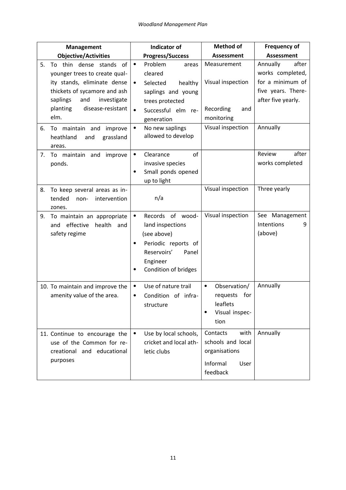| <b>Management</b>                                                                                                                                                                                                                                                             | <b>Indicator of</b>                                                                                                                                                                                                          | <b>Method of</b>                                                                        | Frequency of                                                                                                      |
|-------------------------------------------------------------------------------------------------------------------------------------------------------------------------------------------------------------------------------------------------------------------------------|------------------------------------------------------------------------------------------------------------------------------------------------------------------------------------------------------------------------------|-----------------------------------------------------------------------------------------|-------------------------------------------------------------------------------------------------------------------|
| <b>Objective/Activities</b>                                                                                                                                                                                                                                                   | <b>Progress/Success</b>                                                                                                                                                                                                      | <b>Assessment</b>                                                                       | <b>Assessment</b>                                                                                                 |
| To thin dense stands of<br>5.<br>younger trees to create qual-<br>ity stands, eliminate dense<br>thickets of sycamore and ash<br>saplings<br>and<br>investigate<br>planting<br>disease-resistant<br>elm.<br>6.<br>To maintain and<br>improve<br>heathland<br>and<br>grassland | Problem<br>$\bullet$<br>areas<br>cleared<br>Selected<br>healthy<br>$\bullet$<br>saplings and young<br>trees protected<br>$\bullet$<br>Successful elm re-<br>generation<br>No new saplings<br>$\bullet$<br>allowed to develop | Measurement<br>Visual inspection<br>Recording<br>and<br>monitoring<br>Visual inspection | Annually<br>after<br>works completed,<br>for a minimum of<br>five years. There-<br>after five yearly.<br>Annually |
| areas.<br>maintain and<br>improve<br>7.<br>To<br>ponds.                                                                                                                                                                                                                       | of<br>Clearance<br>$\bullet$<br>invasive species<br>Small ponds opened<br>$\bullet$<br>up to light                                                                                                                           |                                                                                         | after<br>Review<br>works completed                                                                                |
| To keep several areas as in-<br>8.<br>tended<br>intervention<br>non-<br>zones.                                                                                                                                                                                                | n/a                                                                                                                                                                                                                          | Visual inspection                                                                       | Three yearly                                                                                                      |
| To maintain an appropriate<br>9.<br>effective<br>health and<br>and<br>safety regime                                                                                                                                                                                           | Records of wood-<br>$\bullet$<br>land inspections<br>(see above)<br>Periodic reports of<br>$\bullet$<br>Reservoirs'<br>Panel<br>Engineer<br>Condition of bridges<br>٠                                                        | Visual inspection                                                                       | See Management<br>Intentions<br>9<br>(above)                                                                      |
| 10. To maintain and improve the<br>amenity value of the area.                                                                                                                                                                                                                 | Use of nature trail<br>٠<br>Condition of infra-<br>$\bullet$<br>structure                                                                                                                                                    | Observation/<br>٠<br>requests for<br>leaflets<br>Visual inspec-<br>tion                 | Annually                                                                                                          |
| 11. Continue to encourage the<br>use of the Common for re-<br>creational and educational<br>purposes                                                                                                                                                                          | Use by local schools,<br>$\bullet$<br>cricket and local ath-<br>letic clubs                                                                                                                                                  | Contacts<br>with<br>schools and local<br>organisations<br>Informal<br>User<br>feedback  | Annually                                                                                                          |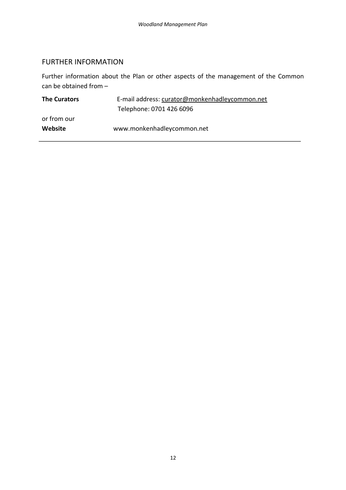## FURTHER INFORMATION

Further information about the Plan or other aspects of the management of the Common can be obtained from –

| <b>The Curators</b> | E-mail address: curator@monkenhadleycommon.net |  |
|---------------------|------------------------------------------------|--|
|                     | Telephone: 0701 426 6096                       |  |
| or from our         |                                                |  |
| Website             | www.monkenhadleycommon.net                     |  |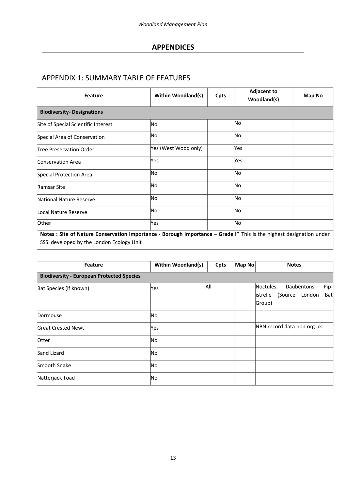## **APPENDICES**

## APPENDIX 1: SUMMARY TABLE OF FEATURES

| <b>Feature</b>                                                                                                                                                    | <b>Within Woodland(s)</b> | Cpts | <b>Adjacent to</b><br>Woodland(s) | Map No |
|-------------------------------------------------------------------------------------------------------------------------------------------------------------------|---------------------------|------|-----------------------------------|--------|
| <b>Biodiversity- Designations</b>                                                                                                                                 |                           |      |                                   |        |
| Site of Special Scientific Interest                                                                                                                               | lNo.                      |      | No.                               |        |
| Special Area of Conservation                                                                                                                                      | No                        |      | No.                               |        |
| Tree Preservation Order                                                                                                                                           | Yes (West Wood only)      |      | Yes                               |        |
| Conservation Area                                                                                                                                                 | Yes                       |      | Yes                               |        |
| Special Protection Area                                                                                                                                           | No                        |      | No.                               |        |
| Ramsar Site                                                                                                                                                       | lNo                       |      | No.                               |        |
| National Nature Reserve                                                                                                                                           | No.                       |      | No.                               |        |
| Local Nature Reserve                                                                                                                                              | No.                       |      | No.                               |        |
| Other                                                                                                                                                             | Yes                       |      | No                                |        |
| Notes : Site of Nature Conservation Importance - Borough Importance - Grade I" This is the highest designation under<br>SSSI developed by the London Ecology Unit |                           |      |                                   |        |

| <b>Feature</b>                                   | <b>Within Woodland(s)</b> | Cpts | Map No | <b>Notes</b>                                                                              |
|--------------------------------------------------|---------------------------|------|--------|-------------------------------------------------------------------------------------------|
| <b>Biodiversity - European Protected Species</b> |                           |      |        |                                                                                           |
| Bat Species (if known)                           | Yes                       | All  |        | Noctules,<br>Daubentons,<br>Pip-<br>istrelle<br>(Source<br>London<br><b>Bat</b><br>Group) |
| Dormouse                                         | No                        |      |        |                                                                                           |
| <b>Great Crested Newt</b>                        | Yes                       |      |        | NBN record data.nbn.org.uk                                                                |
| Otter                                            | No                        |      |        |                                                                                           |
| Sand Lizard                                      | No                        |      |        |                                                                                           |
| <b>Smooth Snake</b>                              | No                        |      |        |                                                                                           |
| Natterjack Toad                                  | No                        |      |        |                                                                                           |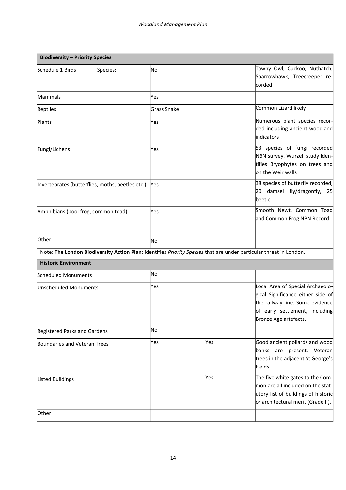| <b>Biodiversity - Priority Species</b> |                                                  |                    |     |                                                                                                                                                                     |
|----------------------------------------|--------------------------------------------------|--------------------|-----|---------------------------------------------------------------------------------------------------------------------------------------------------------------------|
| Schedule 1 Birds                       | Species:                                         | No                 |     | Tawny Owl, Cuckoo, Nuthatch,<br>Sparrowhawk, Treecreeper re-<br>corded                                                                                              |
| Mammals                                |                                                  | Yes                |     |                                                                                                                                                                     |
| Reptiles                               |                                                  | <b>Grass Snake</b> |     | Common Lizard likely                                                                                                                                                |
| Plants                                 |                                                  | Yes                |     | Numerous plant species recor-<br>ded including ancient woodland<br>indicators                                                                                       |
| Fungi/Lichens                          |                                                  | Yes                |     | 53 species of fungi recorded<br>NBN survey. Wurzell study iden-<br>tifies Bryophytes on trees and<br>on the Weir walls                                              |
|                                        | Invertebrates (butterflies, moths, beetles etc.) | Yes                |     | 38 species of butterfly recorded,<br>$\vert$ 20 damsel fly/dragonfly, 25<br>beetle                                                                                  |
| Amphibians (pool frog, common toad)    |                                                  | Yes                |     | Smooth Newt, Common Toad<br>and Common Frog NBN Record                                                                                                              |
| Other                                  |                                                  | No.                |     |                                                                                                                                                                     |
|                                        |                                                  |                    |     | Note: The London Biodiversity Action Plan: identifies Priority Species that are under particular threat in London.                                                  |
| <b>Historic Environment</b>            |                                                  |                    |     |                                                                                                                                                                     |
| <b>Scheduled Monuments</b>             |                                                  | No                 |     |                                                                                                                                                                     |
| Unscheduled Monuments                  |                                                  | Yes                |     | Local Area of Special Archaeolo-<br>gical Significance either side of<br>the railway line. Some evidence<br>of early settlement, including<br>Bronze Age artefacts. |
| Registered Parks and Gardens           |                                                  | No                 |     |                                                                                                                                                                     |
| Boundaries and Veteran Trees           |                                                  | Yes                | Yes | Good ancient pollards and wood<br>banks are present. Veteran<br>trees in the adjacent St George's<br>Fields                                                         |
| Listed Buildings                       |                                                  |                    | Yes | The five white gates to the Com-<br>mon are all included on the stat-<br>utory list of buildings of historic<br>or architectural merit (Grade II).                  |
| Other                                  |                                                  |                    |     |                                                                                                                                                                     |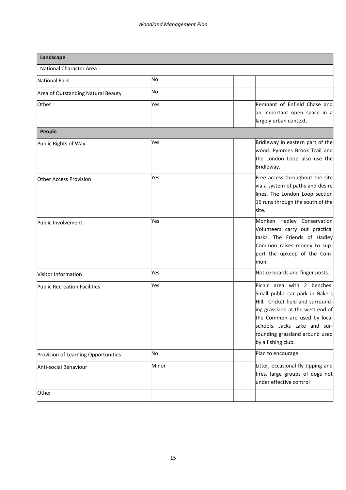| Landscape                           |       |                                                                                                                                                                                                                                                                 |
|-------------------------------------|-------|-----------------------------------------------------------------------------------------------------------------------------------------------------------------------------------------------------------------------------------------------------------------|
| National Character Area:            |       |                                                                                                                                                                                                                                                                 |
| National Park                       | No    |                                                                                                                                                                                                                                                                 |
| Area of Outstanding Natural Beauty  | No    |                                                                                                                                                                                                                                                                 |
| Other:                              | Yes   | Remnant of Enfield Chase and<br>an important open space in a<br>largely urban context.                                                                                                                                                                          |
| <b>People</b>                       |       |                                                                                                                                                                                                                                                                 |
| Public Rights of Way                | Yes   | Bridleway in eastern part of the<br>wood. Pymmes Brook Trail and<br>the London Loop also use the<br>Bridleway.                                                                                                                                                  |
| Other Access Provision              | Yes   | Free access throughout the site<br>via a system of paths and desire<br>lines. The London Loop section<br>16 runs through the south of the<br>lsite.                                                                                                             |
| Public Involvement                  | Yes   | Monken Hadley Conservation<br>Volunteers carry out practical<br>tasks. The Friends of Hadley<br>Common raises money to sup-<br>port the upkeep of the Com-<br>mon.                                                                                              |
| Visitor Information                 | Yes   | Notice boards and finger posts.                                                                                                                                                                                                                                 |
| <b>Public Recreation Facilities</b> | Yes   | Picnic area with 2 benches.<br>Small public car park in Bakers<br>Hill. Cricket field and surround-<br>ing grassland at the west end of<br>the Common are used by local<br>schools. Jacks Lake and sur-<br>rounding grassland around used<br>by a fishing club. |
| Provision of Learning Opportunities | No    | Plan to encourage.                                                                                                                                                                                                                                              |
| Anti-social Behaviour               | Minor | Litter, occasional fly tipping and<br>fires, large groups of dogs not<br>under effective control                                                                                                                                                                |
| Other                               |       |                                                                                                                                                                                                                                                                 |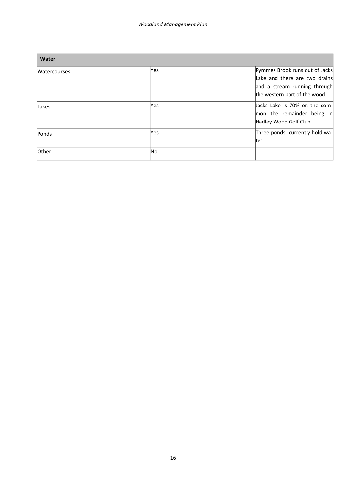| Water               |      |                                                                                                                                  |
|---------------------|------|----------------------------------------------------------------------------------------------------------------------------------|
| <b>Watercourses</b> | Yes  | Pymmes Brook runs out of Jacks<br>Lake and there are two drains<br>and a stream running through<br>the western part of the wood. |
| Lakes               | Yes  | Jacks Lake is 70% on the com-<br>mon the remainder being in<br>Hadley Wood Golf Club.                                            |
| Ponds               | lYes | Three ponds currently hold wa-<br>lter                                                                                           |
| Other               | lNo. |                                                                                                                                  |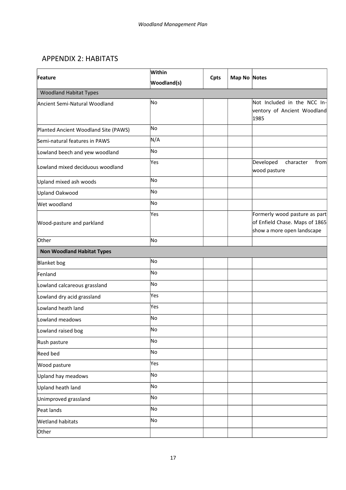## APPENDIX 2: HABITATS

|                                      | Within             |      | Map No Notes |                                                                                               |
|--------------------------------------|--------------------|------|--------------|-----------------------------------------------------------------------------------------------|
| Feature                              | <b>Woodland(s)</b> | Cpts |              |                                                                                               |
| <b>Woodland Habitat Types</b>        |                    |      |              |                                                                                               |
| Ancient Semi-Natural Woodland        | lNo                |      |              | Not Included in the NCC In-<br>ventory of Ancient Woodland<br>1985                            |
| Planted Ancient Woodland Site (PAWS) | No                 |      |              |                                                                                               |
| Semi-natural features in PAWS        | N/A                |      |              |                                                                                               |
| Lowland beech and yew woodland       | No                 |      |              |                                                                                               |
| Lowland mixed deciduous woodland     | Yes                |      |              | Developed<br>character<br>from<br>wood pasture                                                |
| Upland mixed ash woods               | No                 |      |              |                                                                                               |
| Upland Oakwood                       | No                 |      |              |                                                                                               |
| Wet woodland                         | lNo                |      |              |                                                                                               |
| Wood-pasture and parkland            | Yes                |      |              | Formerly wood pasture as part<br>of Enfield Chase. Maps of 1865<br>show a more open landscape |
| Other                                | No                 |      |              |                                                                                               |
| <b>Non Woodland Habitat Types</b>    |                    |      |              |                                                                                               |
| <b>Blanket</b> bog                   | No                 |      |              |                                                                                               |
| Fenland                              | No                 |      |              |                                                                                               |
| Lowland calcareous grassland         | No                 |      |              |                                                                                               |
| Lowland dry acid grassland           | Yes                |      |              |                                                                                               |
| Lowland heath land                   | Yes                |      |              |                                                                                               |
| Lowland meadows                      | <b>No</b>          |      |              |                                                                                               |
| Lowland raised bog                   | No                 |      |              |                                                                                               |
| Rush pasture                         | No                 |      |              |                                                                                               |
| Reed bed                             | No                 |      |              |                                                                                               |
| Wood pasture                         | Yes                |      |              |                                                                                               |
| Upland hay meadows                   | No                 |      |              |                                                                                               |
| Upland heath land                    | No                 |      |              |                                                                                               |
| Unimproved grassland                 | No                 |      |              |                                                                                               |
| Peat lands                           | No                 |      |              |                                                                                               |
| <b>Wetland habitats</b>              | No                 |      |              |                                                                                               |
| Other                                |                    |      |              |                                                                                               |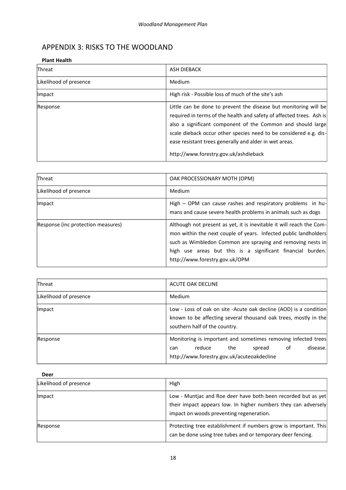## APPENDIX 3: RISKS TO THE WOODLAND

#### **[Plant Health](http://www.forestry.gov.uk/forestry/infd-6abl5v)**

| <b>Threat</b>          | <b>ASH DIEBACK</b>                                                                                                                                                                                                                                                                                                                                                              |
|------------------------|---------------------------------------------------------------------------------------------------------------------------------------------------------------------------------------------------------------------------------------------------------------------------------------------------------------------------------------------------------------------------------|
| Likelihood of presence | Medium                                                                                                                                                                                                                                                                                                                                                                          |
| <i>Impact</i>          | High risk - Possible loss of much of the site's ash                                                                                                                                                                                                                                                                                                                             |
| Response               | Little can be done to prevent the disease but monitoring will be<br>required in terms of the health and safety of affected trees. Ash is<br>also a significant component of the Common and should large<br>scale dieback occur other species need to be considered e.g. dis-<br>ease resistant trees generally and alder in wet areas.<br>http://www.forestry.gov.uk/ashdieback |

| <b>Threat</b>                      | OAK PROCESSIONARY MOTH (OPM)                                                                                                                                                                                                                                                                            |
|------------------------------------|---------------------------------------------------------------------------------------------------------------------------------------------------------------------------------------------------------------------------------------------------------------------------------------------------------|
| Likelihood of presence             | Medium                                                                                                                                                                                                                                                                                                  |
| <b>Impact</b>                      | High - OPM can cause rashes and respiratory problems in hu-<br>mans and cause severe health problems in animals such as dogs                                                                                                                                                                            |
| Response (inc protection measures) | Although not present as yet, it is inevitable it will reach the Com-<br>mon within the next couple of years. Infected public landholders<br>such as Wimbledon Common are spraying and removing nests in<br>high use areas but this is a significant financial burden.<br>http://www.forestry.gov.uk/OPM |

| <b>Threat</b>          | ACUTE OAK DECLINE                                                                                                                                                      |
|------------------------|------------------------------------------------------------------------------------------------------------------------------------------------------------------------|
| Likelihood of presence | Medium                                                                                                                                                                 |
| Impact                 | Low - Loss of oak on site - Acute oak decline (AOD) is a condition<br>known to be affecting several thousand oak trees, mostly in the<br>southern half of the country. |
| Response               | Monitoring is important and sometimes removing infected trees<br>disease.<br>spread of<br>reduce<br>the<br>can<br>http://www.forestry.gov.uk/acuteoakdecline           |

| <b>Deer</b>            |                                                                                                                                                                             |
|------------------------|-----------------------------------------------------------------------------------------------------------------------------------------------------------------------------|
| Likelihood of presence | High                                                                                                                                                                        |
| <b>Impact</b>          | Low - Muntjac and Roe deer have both been recorded but as yet<br>their impact appears low. In higher numbers they can adversely<br>impact on woods preventing regeneration. |
| Response               | Protecting tree establishment if numbers grow is important. This<br>can be done using tree tubes and or temporary deer fencing.                                             |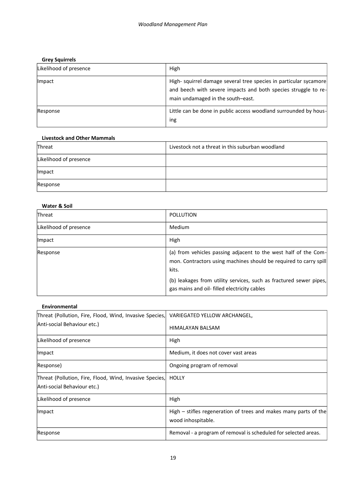#### **[Grey Squirrels](http://www.forestry.gov.uk/greysquirrel)**

| Likelihood of presence | High                                                                                                                                                                     |
|------------------------|--------------------------------------------------------------------------------------------------------------------------------------------------------------------------|
| <i>Impact</i>          | High- squirrel damage several tree species in particular sycamore<br>and beech with severe impacts and both species struggle to re-<br>main undamaged in the south-east. |
| Response               | Little can be done in public access woodland surrounded by hous-<br>ing                                                                                                  |

#### **Livestock and Other Mammals**

| Threat                 | Livestock not a threat in this suburban woodland |
|------------------------|--------------------------------------------------|
| Likelihood of presence |                                                  |
| Impact                 |                                                  |
| Response               |                                                  |

#### **Water & Soil**

| <b>Threat</b>          | <b>POLLUTION</b>                                                                                                                                                                                                                                                    |
|------------------------|---------------------------------------------------------------------------------------------------------------------------------------------------------------------------------------------------------------------------------------------------------------------|
| Likelihood of presence | Medium                                                                                                                                                                                                                                                              |
| Impact                 | High                                                                                                                                                                                                                                                                |
| Response               | (a) from vehicles passing adjacent to the west half of the Com-<br>mon. Contractors using machines should be required to carry spill<br>kits.<br>(b) leakages from utility services, such as fractured sewer pipes,<br>gas mains and oil- filled electricity cables |

## **Environmental** Threat (Pollution, Fire, Flood, Wind, Invasive Species, Anti-social Behaviour etc.) VARIEGATED YELLOW ARCHANGEL, HIMALAYAN BALSAM Likelihood of presence **High** High | Impact | Medium, it does not cover vast areas Response) and a settle of the contract of  $\vert$  Ongoing program of removal Threat (Pollution, Fire, Flood, Wind, Invasive Species, Anti-social Behaviour etc.) **HOLLY**  $\vert$ Likelihood of presence  $\vert$  High Impact  $\vert$  High – stifles regeneration of trees and makes many parts of the wood inhospitable. Response **Removal - a program of removal is scheduled for selected areas.**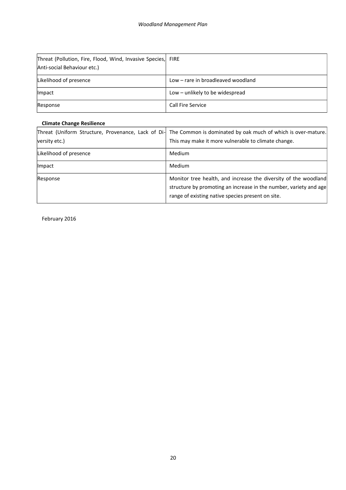| Threat (Pollution, Fire, Flood, Wind, Invasive Species, FIRE<br>Anti-social Behaviour etc.) |                                    |
|---------------------------------------------------------------------------------------------|------------------------------------|
| Likelihood of presence                                                                      | Low – rare in broadleaved woodland |
| <i>Impact</i>                                                                               | Low – unlikely to be widespread    |
| Response                                                                                    | Call Fire Service                  |

#### **[Climate Change](http://www.forestry.gov.uk/forestry/INFD-8M6E9E) Resilience**

| versity etc.)          | Threat (Uniform Structure, Provenance, Lack of Di- The Common is dominated by oak much of which is over-mature.<br>This may make it more vulnerable to climate change.                    |
|------------------------|-------------------------------------------------------------------------------------------------------------------------------------------------------------------------------------------|
| Likelihood of presence | Medium                                                                                                                                                                                    |
| Impact                 | Medium                                                                                                                                                                                    |
| Response               | Monitor tree health, and increase the diversity of the woodland<br>structure by promoting an increase in the number, variety and age<br>range of existing native species present on site. |

February 2016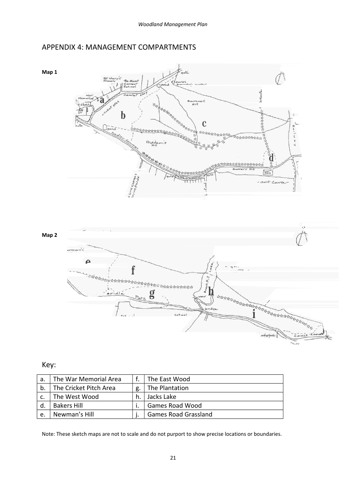## APPENDIX 4: MANAGEMENT COMPARTMENTS





## Key:

| a. | The War Memorial Area  |    | The East Wood               |
|----|------------------------|----|-----------------------------|
| b. | The Cricket Pitch Area | g  | The Plantation              |
|    | The West Wood          | h. | Jacks Lake                  |
| d. | <b>Bakers Hill</b>     |    | <b>Games Road Wood</b>      |
| e. | Newman's Hill          |    | <b>Games Road Grassland</b> |

Note: These sketch maps are not to scale and do not purport to show precise locations or boundaries.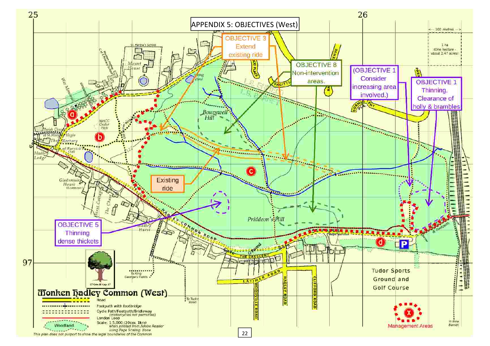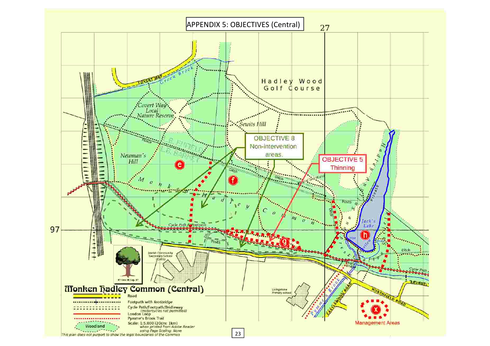